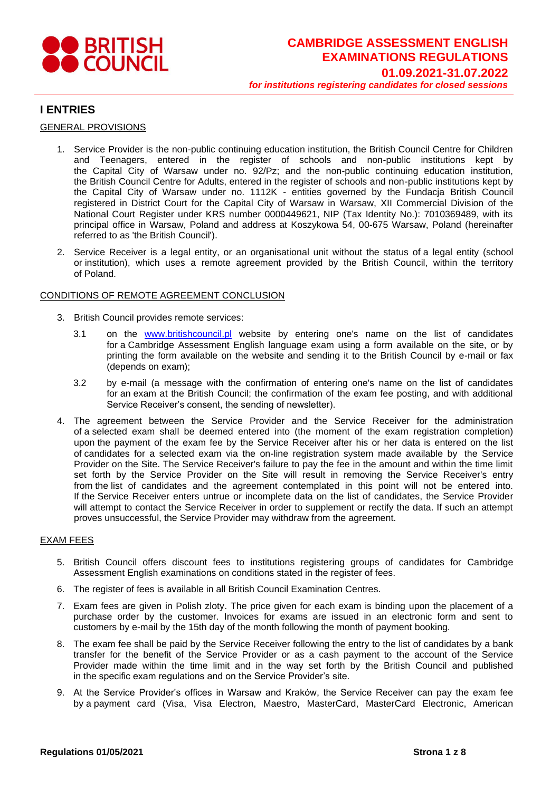

### **I ENTRIES**

### GENERAL PROVISIONS

- 1. Service Provider is the non-public continuing education institution, the British Council Centre for Children and Teenagers, entered in the register of schools and non-public institutions kept by the Capital City of Warsaw under no. 92/Pz; and the non-public continuing education institution, the British Council Centre for Adults, entered in the register of schools and non-public institutions kept by the Capital City of Warsaw under no. 1112K - entities governed by the Fundacja British Council registered in District Court for the Capital City of Warsaw in Warsaw, XII Commercial Division of the National Court Register under KRS number 0000449621, NIP (Tax Identity No.): 7010369489, with its principal office in Warsaw, Poland and address at Koszykowa 54, 00-675 Warsaw, Poland (hereinafter referred to as 'the British Council').
- 2. Service Receiver is a legal entity, or an organisational unit without the status of a legal entity (school or institution), which uses a remote agreement provided by the British Council, within the territory of Poland.

#### CONDITIONS OF REMOTE AGREEMENT CONCLUSION

- 3. British Council provides remote services:
	- 3.1 on the [www.britishcouncil.pl](http://www.britishcouncil.pl/) website by entering one's name on the list of candidates for a Cambridge Assessment English language exam using a form available on the site, or by printing the form available on the website and sending it to the British Council by e-mail or fax (depends on exam);
	- 3.2 by e-mail (a message with the confirmation of entering one's name on the list of candidates for an exam at the British Council; the confirmation of the exam fee posting, and with additional Service Receiver's consent, the sending of newsletter).
- 4. The agreement between the Service Provider and the Service Receiver for the administration of a selected exam shall be deemed entered into (the moment of the exam registration completion) upon the payment of the exam fee by the Service Receiver after his or her data is entered on the list of candidates for a selected exam via the on-line registration system made available by the Service Provider on the Site. The Service Receiver's failure to pay the fee in the amount and within the time limit set forth by the Service Provider on the Site will result in removing the Service Receiver's entry from the list of candidates and the agreement contemplated in this point will not be entered into. If the Service Receiver enters untrue or incomplete data on the list of candidates, the Service Provider will attempt to contact the Service Receiver in order to supplement or rectify the data. If such an attempt proves unsuccessful, the Service Provider may withdraw from the agreement.

### EXAM FEES

- 5. British Council offers discount fees to institutions registering groups of candidates for Cambridge Assessment English examinations on conditions stated in the register of fees.
- 6. The register of fees is available in all British Council Examination Centres.
- 7. Exam fees are given in Polish zloty. The price given for each exam is binding upon the placement of a purchase order by the customer. Invoices for exams are issued in an electronic form and sent to customers by e-mail by the 15th day of the month following the month of payment booking.
- 8. The exam fee shall be paid by the Service Receiver following the entry to the list of candidates by a bank transfer for the benefit of the Service Provider or as a cash payment to the account of the Service Provider made within the time limit and in the way set forth by the British Council and published in the specific exam regulations and on the Service Provider's site.
- 9. At the Service Provider's offices in Warsaw and Kraków, the Service Receiver can pay the exam fee by a payment card (Visa, Visa Electron, Maestro, MasterCard, MasterCard Electronic, American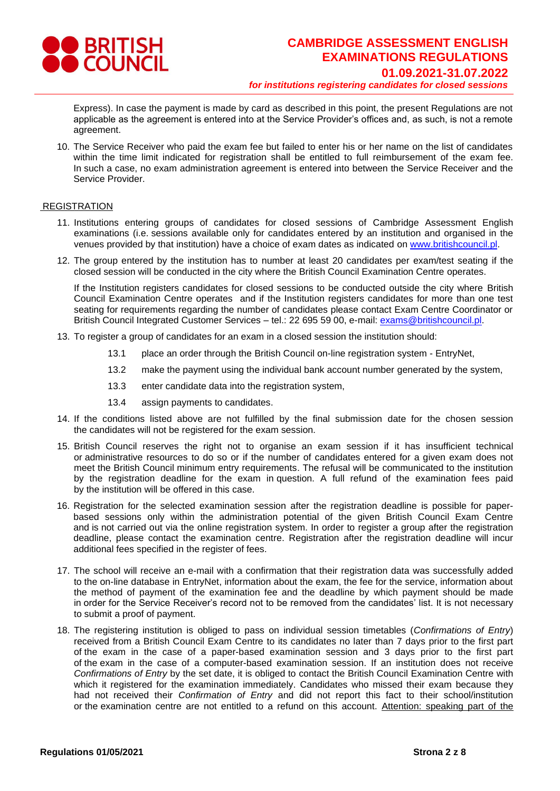

Express). In case the payment is made by card as described in this point, the present Regulations are not applicable as the agreement is entered into at the Service Provider's offices and, as such, is not a remote agreement.

10. The Service Receiver who paid the exam fee but failed to enter his or her name on the list of candidates within the time limit indicated for registration shall be entitled to full reimbursement of the exam fee. In such a case, no exam administration agreement is entered into between the Service Receiver and the Service Provider.

#### REGISTRATION

- 11. Institutions entering groups of candidates for closed sessions of Cambridge Assessment English examinations (i.e. sessions available only for candidates entered by an institution and organised in the venues provided by that institution) have a choice of exam dates as indicated on [www.britishcouncil.pl.](http://www.britishcouncil.pl/)
- 12. The group entered by the institution has to number at least 20 candidates per exam/test seating if the closed session will be conducted in the city where the British Council Examination Centre operates.

If the Institution registers candidates for closed sessions to be conducted outside the city where British Council Examination Centre operates and if the Institution registers candidates for more than one test seating for requirements regarding the number of candidates please contact Exam Centre Coordinator or British Council Integrated Customer Services – tel.: 22 695 59 00, e-mail: [exams@britishcouncil.pl.](mailto:exams@britishcouncil.pl)

- 13. To register a group of candidates for an exam in a closed session the institution should:
	- 13.1 place an order through the British Council on-line registration system EntryNet,
	- 13.2 make the payment using the individual bank account number generated by the system,
	- 13.3 enter candidate data into the registration system,
	- 13.4 assign payments to candidates.
- 14. If the conditions listed above are not fulfilled by the final submission date for the chosen session the candidates will not be registered for the exam session.
- 15. British Council reserves the right not to organise an exam session if it has insufficient technical or administrative resources to do so or if the number of candidates entered for a given exam does not meet the British Council minimum entry requirements. The refusal will be communicated to the institution by the registration deadline for the exam in question. A full refund of the examination fees paid by the institution will be offered in this case.
- 16. Registration for the selected examination session after the registration deadline is possible for paperbased sessions only within the administration potential of the given British Council Exam Centre and is not carried out via the online registration system. In order to register a group after the registration deadline, please contact the examination centre. Registration after the registration deadline will incur additional fees specified in the register of fees.
- 17. The school will receive an e-mail with a confirmation that their registration data was successfully added to the on-line database in EntryNet, information about the exam, the fee for the service, information about the method of payment of the examination fee and the deadline by which payment should be made in order for the Service Receiver's record not to be removed from the candidates' list. It is not necessary to submit a proof of payment.
- 18. The registering institution is obliged to pass on individual session timetables (*Confirmations of Entry*) received from a British Council Exam Centre to its candidates no later than 7 days prior to the first part of the exam in the case of a paper-based examination session and 3 days prior to the first part of the exam in the case of a computer-based examination session. If an institution does not receive *Confirmations of Entry* by the set date, it is obliged to contact the British Council Examination Centre with which it registered for the examination immediately. Candidates who missed their exam because they had not received their *Confirmation of Entry* and did not report this fact to their school/institution or the examination centre are not entitled to a refund on this account. Attention: speaking part of the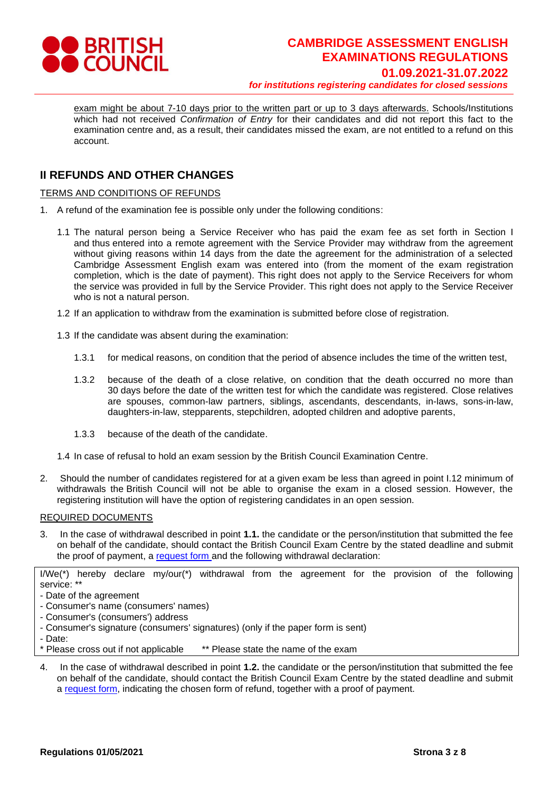

exam might be about 7-10 days prior to the written part or up to 3 days afterwards. Schools/Institutions which had not received *Confirmation of Entry* for their candidates and did not report this fact to the examination centre and, as a result, their candidates missed the exam, are not entitled to a refund on this account.

# **II REFUNDS AND OTHER CHANGES**

TERMS AND CONDITIONS OF REFUNDS

- 1. A refund of the examination fee is possible only under the following conditions:
	- 1.1 The natural person being a Service Receiver who has paid the exam fee as set forth in Section I and thus entered into a remote agreement with the Service Provider may withdraw from the agreement without giving reasons within 14 days from the date the agreement for the administration of a selected Cambridge Assessment English exam was entered into (from the moment of the exam registration completion, which is the date of payment). This right does not apply to the Service Receivers for whom the service was provided in full by the Service Provider. This right does not apply to the Service Receiver who is not a natural person.
	- 1.2 If an application to withdraw from the examination is submitted before close of registration.
	- 1.3 If the candidate was absent during the examination:
		- 1.3.1 for medical reasons, on condition that the period of absence includes the time of the written test,
		- 1.3.2 because of the death of a close relative, on condition that the death occurred no more than 30 days before the date of the written test for which the candidate was registered. Close relatives are spouses, common-law partners, siblings, ascendants, descendants, in-laws, sons-in-law, daughters-in-law, stepparents, stepchildren, adopted children and adoptive parents,
		- 1.3.3 because of the death of the candidate.

1.4 In case of refusal to hold an exam session by the British Council Examination Centre.

2. Should the number of candidates registered for at a given exam be less than agreed in point I.12 minimum of withdrawals the British Council will not be able to organise the exam in a closed session. However, the registering institution will have the option of registering candidates in an open session.

#### REQUIRED DOCUMENTS

3. In the case of withdrawal described in point **1.1.** the candidate or the person/institution that submitted the fee on behalf of the candidate, should contact the British Council Exam Centre by the stated deadline and submit the proof of payment, a [request form](https://www.britishcouncil.pl/sites/default/files/refund_form_2021_cambridge_ep_final.pdf) and the following withdrawal declaration:

I/We(\*) hereby declare my/our(\*) withdrawal from the agreement for the provision of the following service: \*\*

- Date of the agreement
- Consumer's name (consumers' names)
- Consumer's (consumers') address

- Consumer's signature (consumers' signatures) (only if the paper form is sent)

- Date:

\* Please cross out if not applicable \*\* Please state the name of the exam

4. In the case of withdrawal described in point **1.2.** the candidate or the person/institution that submitted the fee on behalf of the candidate, should contact the British Council Exam Centre by the stated deadline and submit [a request form,](https://www.britishcouncil.pl/sites/default/files/refund_form_2021_cambridge_ep_final.pdf) indicating the chosen form of refund, together with a proof of payment.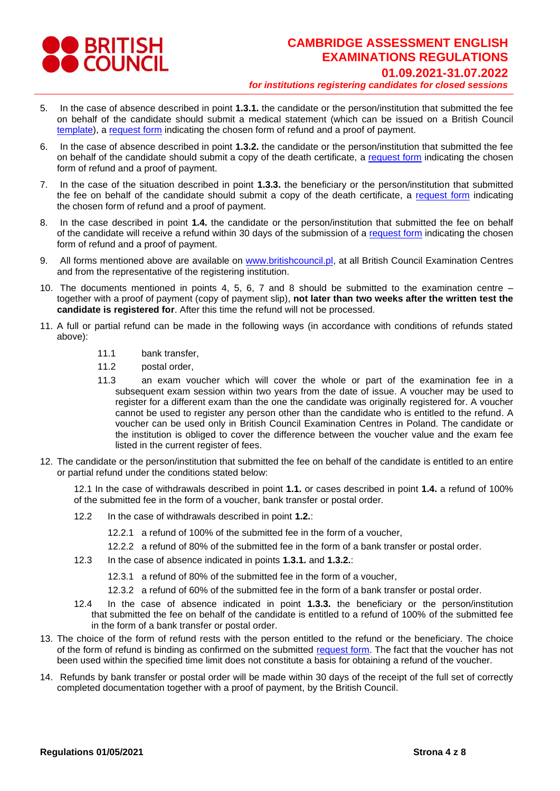

- 5. In the case of absence described in point **1.3.1.** the candidate or the person/institution that submitted the fee on behalf of the candidate should submit a medical statement (which can be issued on a British Council [template\)](https://www.britishcouncil.pl/sites/default/files/zwolnienie_lekarskie_medical_certificate_2021_pl_gb_ep_final.pdf), a [request](https://www.britishcouncil.pl/sites/default/files/refund_form_2021_cambridge_ep_final.pdf) form indicating the chosen form of refund and a proof of payment.
- 6. In the case of absence described in point **1.3.2.** the candidate or the person/institution that submitted the fee on behalf of the candidate should submit a copy of the death certificate, a [request form](https://www.britishcouncil.pl/sites/default/files/refund_form_2021_cambridge_ep_final.pdf) indicating the chosen form of refund and a proof of payment.
- 7. In the case of the situation described in point **1.3.3.** the beneficiary or the person/institution that submitted the fee on behalf of the candidate should submit a copy of the death certificate, a [request form](https://www.britishcouncil.pl/sites/default/files/refund_form_2021_cambridge_ep_final.pdf) indicating the chosen form of refund and a proof of payment.
- 8. In the case described in point **1.4.** the candidate or the person/institution that submitted the fee on behalf of the candidate will receive a refund within 30 days of the submission of a [request form](https://www.britishcouncil.pl/sites/default/files/refund_form_2021_cambridge_ep_final.pdf) indicating the chosen form of refund and a proof of payment.
- 9. All forms mentioned above are available on [www.britishcouncil.pl,](http://www.britishcouncil.pl/) at all British Council Examination Centres and from the representative of the registering institution.
- 10. The documents mentioned in points 4, 5, 6, 7 and 8 should be submitted to the examination centre together with a proof of payment (copy of payment slip), **not later than two weeks after the written test the candidate is registered for**. After this time the refund will not be processed.
- 11. A full or partial refund can be made in the following ways (in accordance with conditions of refunds stated above):
	- 11.1 bank transfer,
	- 11.2 postal order,
	- 11.3 an exam voucher which will cover the whole or part of the examination fee in a subsequent exam session within two years from the date of issue. A voucher may be used to register for a different exam than the one the candidate was originally registered for. A voucher cannot be used to register any person other than the candidate who is entitled to the refund. A voucher can be used only in British Council Examination Centres in Poland. The candidate or the institution is obliged to cover the difference between the voucher value and the exam fee listed in the current register of fees.
- 12. The candidate or the person/institution that submitted the fee on behalf of the candidate is entitled to an entire or partial refund under the conditions stated below:

12.1 In the case of withdrawals described in point **1.1.** or cases described in point **1.4.** a refund of 100% of the submitted fee in the form of a voucher, bank transfer or postal order.

- 12.2 In the case of withdrawals described in point **1.2.**:
	- 12.2.1 a refund of 100% of the submitted fee in the form of a voucher,
	- 12.2.2 a refund of 80% of the submitted fee in the form of a bank transfer or postal order.
- 12.3 In the case of absence indicated in points **1.3.1.** and **1.3.2.**:
	- 12.3.1 a refund of 80% of the submitted fee in the form of a voucher,
	- 12.3.2 a refund of 60% of the submitted fee in the form of a bank transfer or postal order.
- 12.4 In the case of absence indicated in point **1.3.3.** the beneficiary or the person/institution that submitted the fee on behalf of the candidate is entitled to a refund of 100% of the submitted fee in the form of a bank transfer or postal order.
- 13. The choice of the form of refund rests with the person entitled to the refund or the beneficiary. The choice of the form of refund is binding as confirmed on the submitted [request form.](https://www.britishcouncil.pl/sites/default/files/refund_form_2021_cambridge_ep_final.pdf) The fact that the voucher has not been used within the specified time limit does not constitute a basis for obtaining a refund of the voucher.
- 14. Refunds by bank transfer or postal order will be made within 30 days of the receipt of the full set of correctly completed documentation together with a proof of payment, by the British Council.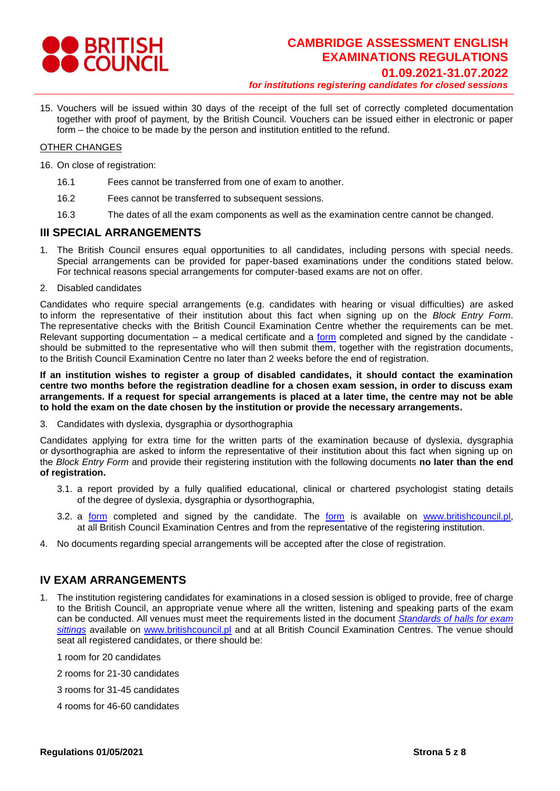

15. Vouchers will be issued within 30 days of the receipt of the full set of correctly completed documentation together with proof of payment, by the British Council. Vouchers can be issued either in electronic or paper form – the choice to be made by the person and institution entitled to the refund.

#### OTHER CHANGES

- 16. On close of registration:
	- 16.1 Fees cannot be transferred from one of exam to another.
	- 16.2 Fees cannot be transferred to subsequent sessions.
	- 16.3 The dates of all the exam components as well as the examination centre cannot be changed.

### **III SPECIAL ARRANGEMENTS**

- 1. The British Council ensures equal opportunities to all candidates, including persons with special needs. Special arrangements can be provided for paper-based examinations under the conditions stated below. For technical reasons special arrangements for computer-based exams are not on offer.
- 2. Disabled candidates

Candidates who require special arrangements (e.g. candidates with hearing or visual difficulties) are asked to inform the representative of their institution about this fact when signing up on the *Block Entry Form*. The representative checks with the British Council Examination Centre whether the requirements can be met. Relevant supporting documentation – a medical certificate and a [form](https://www.britishcouncil.pl/sites/default/files/internal_sa_form_gb_16_09_2020_ep_final.pdf) completed and signed by the candidate should be submitted to the representative who will then submit them, together with the registration documents, to the British Council Examination Centre no later than 2 weeks before the end of registration.

**If an institution wishes to register a group of disabled candidates, it should contact the examination centre two months before the registration deadline for a chosen exam session, in order to discuss exam arrangements. If a request for special arrangements is placed at a later time, the centre may not be able to hold the exam on the date chosen by the institution or provide the necessary arrangements.**

3. Candidates with dyslexia, dysgraphia or dysorthographia

Candidates applying for extra time for the written parts of the examination because of dyslexia, dysgraphia or dysorthographia are asked to inform the representative of their institution about this fact when signing up on the *Block Entry Form* and provide their registering institution with the following documents **no later than the end of registration.**

- 3.1. a report provided by a fully qualified educational, clinical or chartered psychologist stating details of the degree of dyslexia, dysgraphia or dysorthographia,
- 3.2. a [form](https://www.britishcouncil.pl/sites/default/files/internal_sa_form_gb_16_09_2020_ep_final.pdf) completed and signed by the candidate. The [form](https://www.britishcouncil.pl/sites/default/files/internal_sa_form_gb_16_09_2020_ep_final.pdf) is available on [www.britishcouncil.pl,](http://www.britishcouncil.pl/) at all British Council Examination Centres and from the representative of the registering institution.
- 4. No documents regarding special arrangements will be accepted after the close of registration.

# **IV EXAM ARRANGEMENTS**

- 1. The institution registering candidates for examinations in a closed session is obliged to provide, free of charge to the British Council, an appropriate venue where all the written, listening and speaking parts of the exam can be conducted. All venues must meet the requirements listed in the document *[Standards of halls for exam](https://pl.live.solas.britishcouncil.digital/sites/default/files/standardy_sal_egzaminacynych_fundacja_2016_08_02_gb_am_final.pdf)  [sittings](https://pl.live.solas.britishcouncil.digital/sites/default/files/standardy_sal_egzaminacynych_fundacja_2016_08_02_gb_am_final.pdf)* available on [www.britishcouncil.pl](http://www.britishcouncil.pl/) and at all British Council Examination Centres. The venue should seat all registered candidates, or there should be:
	- 1 room for 20 candidates
	- 2 rooms for 21-30 candidates
	- 3 rooms for 31-45 candidates
	- 4 rooms for 46-60 candidates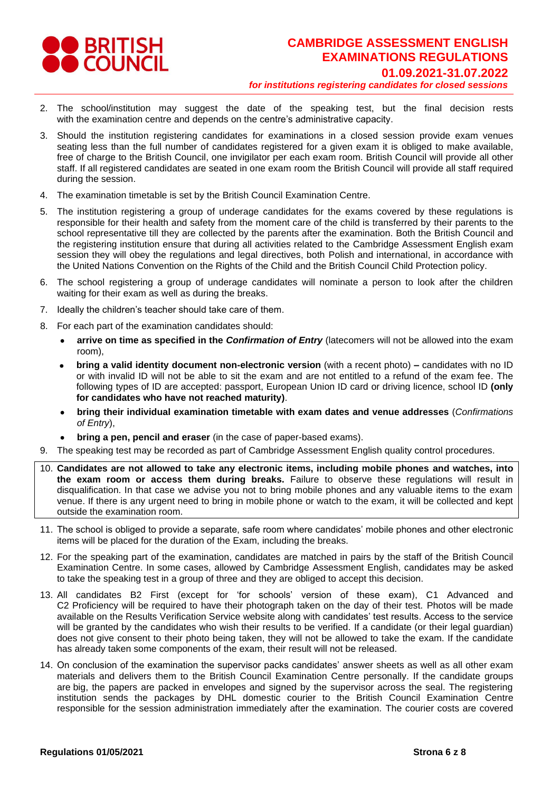

- 2. The school/institution may suggest the date of the speaking test, but the final decision rests with the examination centre and depends on the centre's administrative capacity.
- 3. Should the institution registering candidates for examinations in a closed session provide exam venues seating less than the full number of candidates registered for a given exam it is obliged to make available, free of charge to the British Council, one invigilator per each exam room. British Council will provide all other staff. If all registered candidates are seated in one exam room the British Council will provide all staff required during the session.
- 4. The examination timetable is set by the British Council Examination Centre.
- 5. The institution registering a group of underage candidates for the exams covered by these regulations is responsible for their health and safety from the moment care of the child is transferred by their parents to the school representative till they are collected by the parents after the examination. Both the British Council and the registering institution ensure that during all activities related to the Cambridge Assessment English exam session they will obey the regulations and legal directives, both Polish and international, in accordance with the United Nations Convention on the Rights of the Child and the British Council Child Protection policy.
- 6. The school registering a group of underage candidates will nominate a person to look after the children waiting for their exam as well as during the breaks.
- 7. Ideally the children's teacher should take care of them.
- 8. For each part of the examination candidates should:
	- **arrive on time as specified in the** *Confirmation of Entry* (latecomers will not be allowed into the exam room),
	- **bring a valid identity document non-electronic version** (with a recent photo) **–** candidates with no ID or with invalid ID will not be able to sit the exam and are not entitled to a refund of the exam fee. The following types of ID are accepted: passport, European Union ID card or driving licence, school ID **(only for candidates who have not reached maturity)**.
	- **bring their individual examination timetable with exam dates and venue addresses** (*Confirmations of Entry*),
	- **bring a pen, pencil and eraser** (in the case of paper-based exams).
- 9. The speaking test may be recorded as part of Cambridge Assessment English quality control procedures.
- 10. **Candidates are not allowed to take any electronic items, including mobile phones and watches, into the exam room or access them during breaks.** Failure to observe these regulations will result in disqualification. In that case we advise you not to bring mobile phones and any valuable items to the exam venue. If there is any urgent need to bring in mobile phone or watch to the exam, it will be collected and kept outside the examination room.
- 11. The school is obliged to provide a separate, safe room where candidates' mobile phones and other electronic items will be placed for the duration of the Exam, including the breaks.
- 12. For the speaking part of the examination, candidates are matched in pairs by the staff of the British Council Examination Centre. In some cases, allowed by Cambridge Assessment English, candidates may be asked to take the speaking test in a group of three and they are obliged to accept this decision.
- 13. All candidates B2 First (except for 'for schools' version of these exam), C1 Advanced and C2 Proficiency will be required to have their photograph taken on the day of their test. Photos will be made available on the Results Verification Service website along with candidates' test results. Access to the service will be granted by the candidates who wish their results to be verified. If a candidate (or their legal guardian) does not give consent to their photo being taken, they will not be allowed to take the exam. If the candidate has already taken some components of the exam, their result will not be released.
- 14. On conclusion of the examination the supervisor packs candidates' answer sheets as well as all other exam materials and delivers them to the British Council Examination Centre personally. If the candidate groups are big, the papers are packed in envelopes and signed by the supervisor across the seal. The registering institution sends the packages by DHL domestic courier to the British Council Examination Centre responsible for the session administration immediately after the examination. The courier costs are covered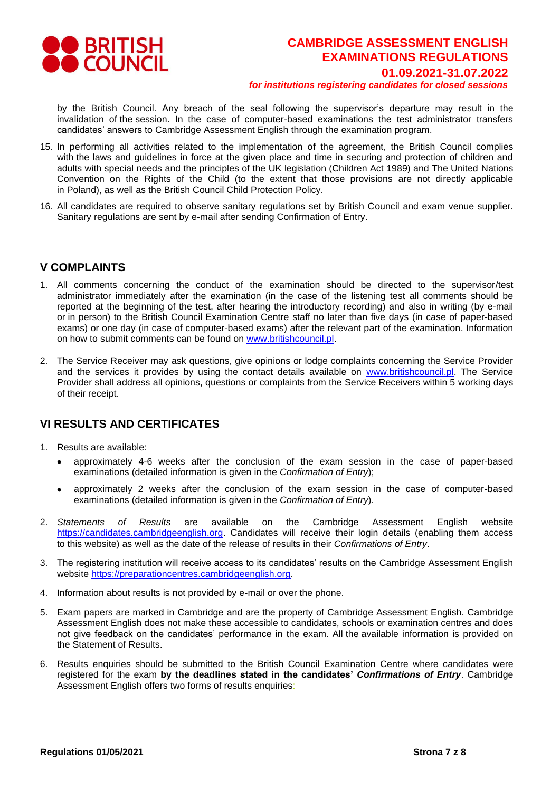

by the British Council. Any breach of the seal following the supervisor's departure may result in the invalidation of the session. In the case of computer-based examinations the test administrator transfers candidates' answers to Cambridge Assessment English through the examination program.

- 15. In performing all activities related to the implementation of the agreement, the British Council complies with the laws and guidelines in force at the given place and time in securing and protection of children and adults with special needs and the principles of the UK legislation (Children Act 1989) and The United Nations Convention on the Rights of the Child (to the extent that those provisions are not directly applicable in Poland), as well as the British Council Child Protection Policy.
- 16. All candidates are required to observe sanitary regulations set by British Council and exam venue supplier. Sanitary regulations are sent by e-mail after sending Confirmation of Entry.

### **V COMPLAINTS**

- 1. All comments concerning the conduct of the examination should be directed to the supervisor/test administrator immediately after the examination (in the case of the listening test all comments should be reported at the beginning of the test, after hearing the introductory recording) and also in writing (by e-mail or in person) to the British Council Examination Centre staff no later than five days (in case of paper-based exams) or one day (in case of computer-based exams) after the relevant part of the examination. Information on how to submit comments can be found on [www.britishcouncil.pl.](http://www.britishcouncil.pl/)
- 2. The Service Receiver may ask questions, give opinions or lodge complaints concerning the Service Provider and the services it provides by using the contact details available on [www.britishcouncil.pl.](http://www.britishcouncil.pl/) The Service Provider shall address all opinions, questions or complaints from the Service Receivers within 5 working days of their receipt.

## **VI RESULTS AND CERTIFICATES**

- 1. Results are available:
	- approximately 4-6 weeks after the conclusion of the exam session in the case of paper-based examinations (detailed information is given in the *Confirmation of Entry*);
	- approximately 2 weeks after the conclusion of the exam session in the case of computer-based examinations (detailed information is given in the *Confirmation of Entry*).
- 2. *Statements of Results* are available on the Cambridge Assessment English website [https://candidates.cambridgeenglish.org.](https://candidates.cambridgeenglish.org/) Candidates will receive their login details (enabling them access to this website) as well as the date of the release of results in their *Confirmations of Entry*.
- 3. The registering institution will receive access to its candidates' results on the Cambridge Assessment English website [https://preparationcentres.cambridgeenglish.org.](https://preparationcentres.cambridgeenglish.org/)
- 4. Information about results is not provided by e-mail or over the phone.
- 5. Exam papers are marked in Cambridge and are the property of Cambridge Assessment English. Cambridge Assessment English does not make these accessible to candidates, schools or examination centres and does not give feedback on the candidates' performance in the exam. All the available information is provided on the Statement of Results.
- 6. Results enquiries should be submitted to the British Council Examination Centre where candidates were registered for the exam **by the deadlines stated in the candidates'** *Confirmations of Entry*. Cambridge Assessment English offers two forms of results enquiries: